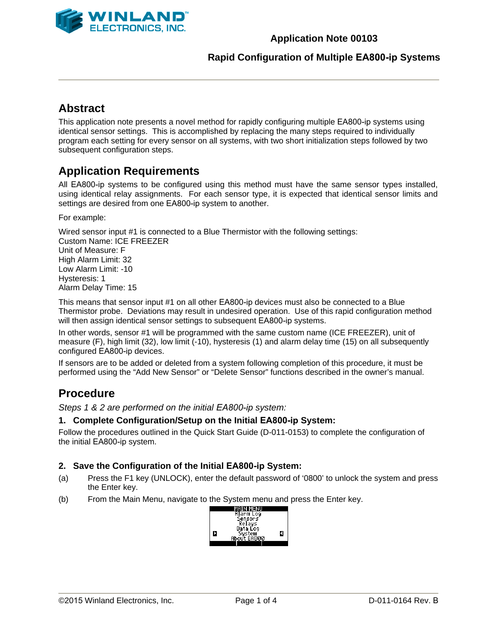

### **Application Note 00103**

### **Rapid Configuration of Multiple EA800-ip Systems**

# **Abstract**

This application note presents a novel method for rapidly configuring multiple EA800-ip systems using identical sensor settings. This is accomplished by replacing the many steps required to individually program each setting for every sensor on all systems, with two short initialization steps followed by two subsequent configuration steps.

# **Application Requirements**

All EA800-ip systems to be configured using this method must have the same sensor types installed, using identical relay assignments. For each sensor type, it is expected that identical sensor limits and settings are desired from one EA800-ip system to another.

For example:

Wired sensor input #1 is connected to a Blue Thermistor with the following settings: Custom Name: ICE FREEZER Unit of Measure: F High Alarm Limit: 32 Low Alarm Limit: -10 Hysteresis: 1 Alarm Delay Time: 15

This means that sensor input #1 on all other EA800-ip devices must also be connected to a Blue Thermistor probe. Deviations may result in undesired operation. Use of this rapid configuration method will then assign identical sensor settings to subsequent EA800-ip systems.

In other words, sensor #1 will be programmed with the same custom name (ICE FREEZER), unit of measure (F), high limit (32), low limit (-10), hysteresis (1) and alarm delay time (15) on all subsequently configured EA800-ip devices.

If sensors are to be added or deleted from a system following completion of this procedure, it must be performed using the "Add New Sensor" or "Delete Sensor" functions described in the owner's manual.

# **Procedure**

*Steps 1 & 2 are performed on the initial EA800-ip system:* 

#### **1. Complete Configuration/Setup on the Initial EA800-ip System:**

Follow the procedures outlined in the Quick Start Guide (D-011-0153) to complete the configuration of the initial EA800-ip system.

#### **2. Save the Configuration of the Initial EA800-ip System:**

- (a) Press the F1 key (UNLOCK), enter the default password of '0800' to unlock the system and press the Enter key.
- (b) From the Main Menu, navigate to the System menu and press the Enter key.

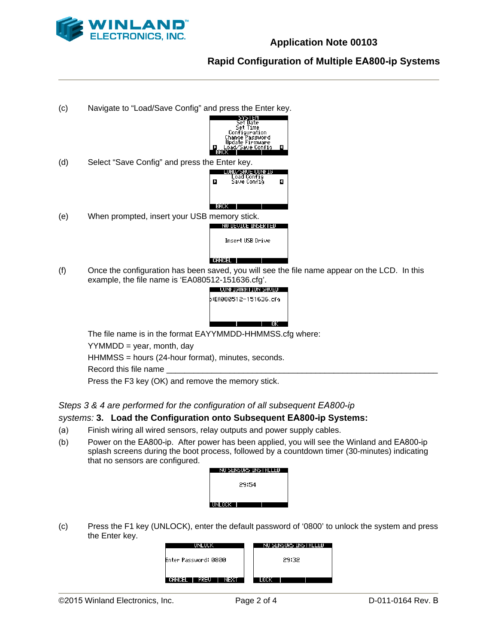

## **Rapid Configuration of Multiple EA800-ip Systems**



The file name is in the format EAYYMMDD-HHMMSS.cfg where:

 $YYMMDD = year$ , month, day

HHMMSS = hours (24-hour format), minutes, seconds.

Record this file name

Press the F3 key (OK) and remove the memory stick.

### *Steps 3 & 4 are performed for the configuration of all subsequent EA800-ip*

### *systems:* **3. Load the Configuration onto Subsequent EA800-ip Systems:**

- (a) Finish wiring all wired sensors, relay outputs and power supply cables.
- (b) Power on the EA800-ip. After power has been applied, you will see the Winland and EA800-ip splash screens during the boot process, followed by a countdown timer (30-minutes) indicating that no sensors are configured.

| NO SENSORS INSTALLED |  |
|----------------------|--|
|                      |  |
| 29:54                |  |
|                      |  |
| UNLOCK I             |  |

(c) Press the F1 key (UNLOCK), enter the default password of '0800' to unlock the system and press the Enter key.

| імі шік                         | NO SENSORS INSTALLED |
|---------------------------------|----------------------|
| Enter Password: 0800            | 29:32                |
| <b>VEIRDIESEN</b><br>п<br>PREU. |                      |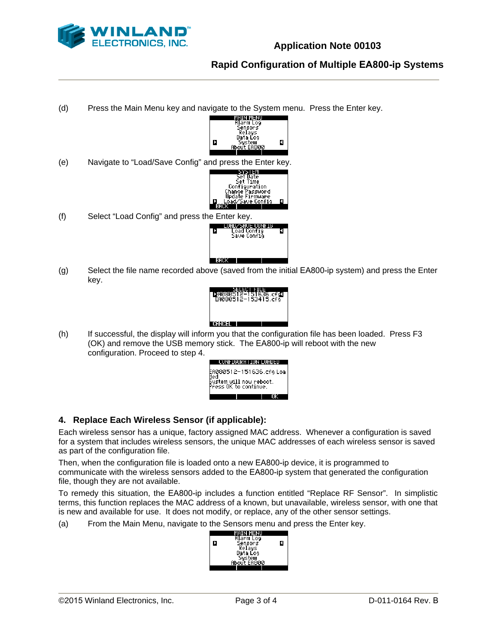

# **Rapid Configuration of Multiple EA800-ip Systems**

(d) Press the Main Menu key and navigate to the System menu. Press the Enter key.



(e) Navigate to "Load/Save Config" and press the Enter key.



(f) Select "Load Config" and press the Enter key.<br>  $\begin{array}{|c|c|c|}\n\hline\n\text{I} & \text{Lap} & \text{Lap} & \text{Lap} \\
\hline\n\text{I} & \text{Load Config} & \text{Save Config} \\
\hline\n\end{array}$ 



(g) Select the file name recorded above (saved from the initial EA800-ip system) and press the Enter key.



(h) If successful, the display will inform you that the configuration file has been loaded. Press F3 (OK) and remove the USB memory stick. The EA800-ip will reboot with the new configuration. Proceed to step 4.



## **4. Replace Each Wireless Sensor (if applicable):**

Each wireless sensor has a unique, factory assigned MAC address. Whenever a configuration is saved for a system that includes wireless sensors, the unique MAC addresses of each wireless sensor is saved as part of the configuration file.

Then, when the configuration file is loaded onto a new EA800-ip device, it is programmed to communicate with the wireless sensors added to the EA800-ip system that generated the configuration file, though they are not available.

To remedy this situation, the EA800-ip includes a function entitled "Replace RF Sensor". In simplistic terms, this function replaces the MAC address of a known, but unavailable, wireless sensor, with one that is new and available for use. It does not modify, or replace, any of the other sensor settings.

(a) From the Main Menu, navigate to the Sensors menu and press the Enter key.